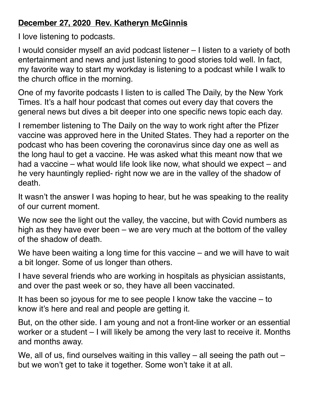## **December 27, 2020 Rev. Katheryn McGinnis**

I love listening to podcasts.

I would consider myself an avid podcast listener – I listen to a variety of both entertainment and news and just listening to good stories told well. In fact, my favorite way to start my workday is listening to a podcast while I walk to the church office in the morning.

One of my favorite podcasts I listen to is called The Daily, by the New York Times. It's a half hour podcast that comes out every day that covers the general news but dives a bit deeper into one specific news topic each day.

I remember listening to The Daily on the way to work right after the Pfizer vaccine was approved here in the United States. They had a reporter on the podcast who has been covering the coronavirus since day one as well as the long haul to get a vaccine. He was asked what this meant now that we had a vaccine – what would life look like now, what should we expect – and he very hauntingly replied- right now we are in the valley of the shadow of death.

It wasn't the answer I was hoping to hear, but he was speaking to the reality of our current moment.

We now see the light out the valley, the vaccine, but with Covid numbers as high as they have ever been – we are very much at the bottom of the valley of the shadow of death.

We have been waiting a long time for this vaccine – and we will have to wait a bit longer. Some of us longer than others.

I have several friends who are working in hospitals as physician assistants, and over the past week or so, they have all been vaccinated.

It has been so joyous for me to see people I know take the vaccine – to know it's here and real and people are getting it.

But, on the other side. I am young and not a front-line worker or an essential worker or a student – I will likely be among the very last to receive it. Months and months away.

We, all of us, find ourselves waiting in this valley  $-$  all seeing the path out  $$ but we won't get to take it together. Some won't take it at all.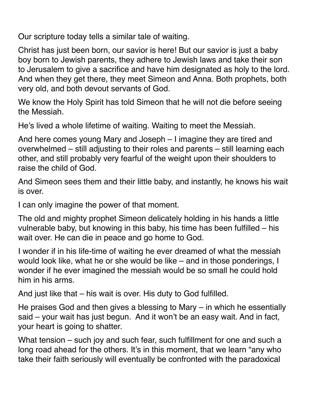Our scripture today tells a similar tale of waiting.

Christ has just been born, our savior is here! But our savior is just a baby boy born to Jewish parents, they adhere to Jewish laws and take their son to Jerusalem to give a sacrifice and have him designated as holy to the lord. And when they get there, they meet Simeon and Anna. Both prophets, both very old, and both devout servants of God.

We know the Holy Spirit has told Simeon that he will not die before seeing the Messiah.

He's lived a whole lifetime of waiting. Waiting to meet the Messiah.

And here comes young Mary and Joseph – I imagine they are tired and overwhelmed – still adjusting to their roles and parents – still learning each other, and still probably very fearful of the weight upon their shoulders to raise the child of God.

And Simeon sees them and their little baby, and instantly, he knows his wait is over.

I can only imagine the power of that moment.

The old and mighty prophet Simeon delicately holding in his hands a little vulnerable baby, but knowing in this baby, his time has been fulfilled – his wait over. He can die in peace and go home to God.

I wonder if in his life-time of waiting he ever dreamed of what the messiah would look like, what he or she would be like – and in those ponderings, I wonder if he ever imagined the messiah would be so small he could hold him in his arms.

And just like that – his wait is over. His duty to God fulfilled.

He praises God and then gives a blessing to Mary – in which he essentially said – your wait has just begun. And it won't be an easy wait. And in fact, your heart is going to shatter.

What tension – such joy and such fear, such fulfillment for one and such a long road ahead for the others. It's in this moment, that we learn "any who take their faith seriously will eventually be confronted with the paradoxical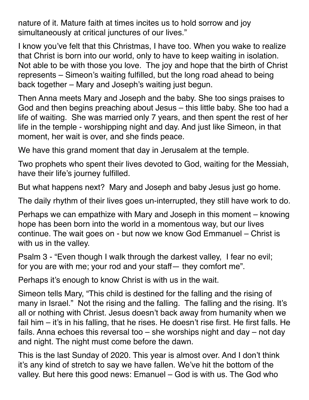nature of it. Mature faith at times incites us to hold sorrow and joy simultaneously at critical junctures of our lives."

I know you've felt that this Christmas, I have too. When you wake to realize that Christ is born into our world, only to have to keep waiting in isolation. Not able to be with those you love. The joy and hope that the birth of Christ represents – Simeon's waiting fulfilled, but the long road ahead to being back together – Mary and Joseph's waiting just begun.

Then Anna meets Mary and Joseph and the baby. She too sings praises to God and then begins preaching about Jesus – this little baby. She too had a life of waiting. She was married only 7 years, and then spent the rest of her life in the temple - worshipping night and day. And just like Simeon, in that moment, her wait is over, and she finds peace.

We have this grand moment that day in Jerusalem at the temple.

Two prophets who spent their lives devoted to God, waiting for the Messiah, have their life's journey fulfilled.

But what happens next? Mary and Joseph and baby Jesus just go home.

The daily rhythm of their lives goes un-interrupted, they still have work to do.

Perhaps we can empathize with Mary and Joseph in this moment – knowing hope has been born into the world in a momentous way, but our lives continue. The wait goes on - but now we know God Emmanuel – Christ is with us in the valley.

Psalm 3 - "Even though I walk through the darkest valley, I fear no evil; for you are with me; your rod and your staff— they comfort me".

Perhaps it's enough to know Christ is with us in the wait.

Simeon tells Mary, "This child is destined for the falling and the rising of many in Israel." Not the rising and the falling. The falling and the rising. It's all or nothing with Christ. Jesus doesn't back away from humanity when we fail him – it's in his falling, that he rises. He doesn't rise first. He first falls. He fails. Anna echoes this reversal too – she worships night and day – not day and night. The night must come before the dawn.

This is the last Sunday of 2020. This year is almost over. And I don't think it's any kind of stretch to say we have fallen. We've hit the bottom of the valley. But here this good news: Emanuel – God is with us. The God who